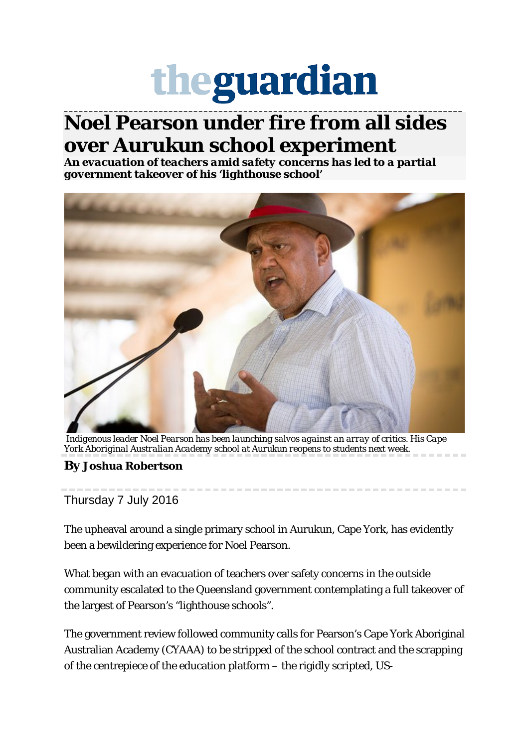## theguardian

**\_\_\_\_\_\_\_\_\_\_\_\_\_\_\_\_\_\_\_\_\_\_\_\_\_\_\_\_\_\_\_\_\_\_\_\_\_\_\_\_\_\_\_\_\_\_\_\_\_\_\_\_\_\_\_\_\_\_\_\_\_\_\_\_\_\_\_\_\_\_\_\_\_\_\_\_\_\_\_\_**

## **Noel Pearson under fire from all sides over Aurukun school experiment**

*An evacuation of teachers amid safety concerns has led to a partial government takeover of his 'lighthouse school'*



*Indigenous leader Noel Pearson has been launching salvos against an array of critics. His Cape York Aboriginal Australian Academy school at Aurukun reopens to students next week.*

**By [Joshua Robertson](https://www.theguardian.com/profile/joshua-robertson)**

Thursday 7 July 2016

The upheaval around a single primary school in Aurukun, Cape York, has evidently been a bewildering experience for Noel Pearson.

What began with an evacuation of teachers over safety concerns in the outside community escalated to the Queensland government contemplating a full takeover of the largest of Pearson's "lighthouse schools".

The government review followed community calls for Pearson's Cape York Aboriginal Australian Academy (CYAAA) to be stripped of the school contract and the scrapping of the centrepiece of the education platform – the rigidly scripted, US-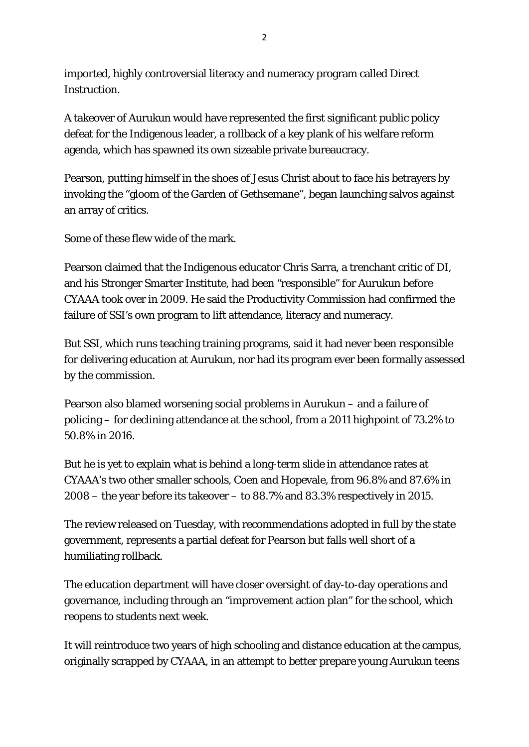imported, highly controversial literacy and numeracy program called Direct Instruction.

A takeover of Aurukun would have represented the first significant public policy defeat for the Indigenous leader, a rollback of a key plank of his welfare reform agenda, which has spawned its own sizeable private bureaucracy.

Pearson, putting himself in the shoes of Jesus Christ about to face his betrayers by invoking the "gloom of the Garden of Gethsemane", began launching salvos against an array of critics.

Some of these flew wide of the mark.

Pearson claimed that the Indigenous educator Chris Sarra, a trenchant critic of DI, and his Stronger Smarter Institute, had been "responsible" for Aurukun before CYAAA took over in 2009. He said the Productivity Commission had confirmed the failure of SSI's own program to lift attendance, literacy and numeracy.

But SSI, which runs teaching training programs, said it had never been responsible for delivering education at Aurukun, nor had its program ever been formally assessed by the commission.

Pearson also blamed worsening social problems in Aurukun – and a failure of policing – for declining attendance at the school, from a 2011 highpoint of 73.2% to 50.8% in 2016.

But he is yet to explain what is behind a long-term slide in attendance rates at CYAAA's two other smaller schools, Coen and Hopevale, from 96.8% and 87.6% in 2008 – the year before its takeover – to 88.7% and 83.3% respectively in 2015.

The review released on Tuesday, with recommendations adopted in full by the state government, represents a partial defeat for Pearson but falls well short of a humiliating rollback.

The education department will have closer oversight of day-to-day operations and governance, including through an "improvement action plan" for the school, which reopens to students next week.

It will reintroduce two years of high schooling and distance education at the campus, originally scrapped by CYAAA, in an attempt to better prepare young Aurukun teens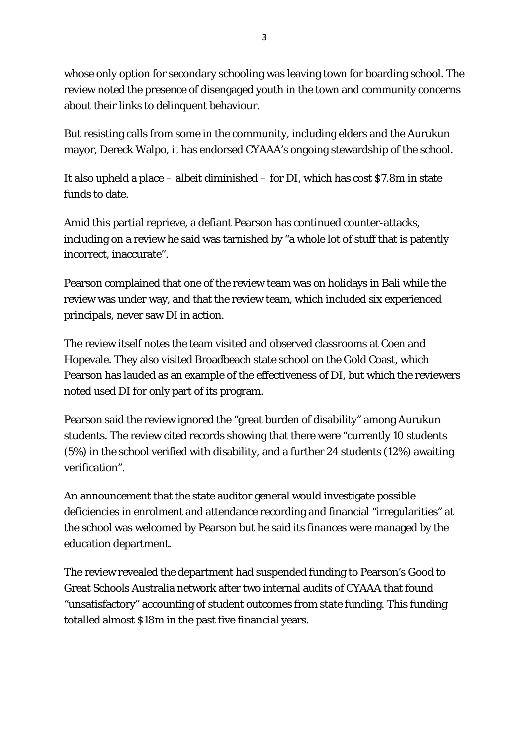whose only option for secondary schooling was leaving town for boarding school. The review noted the presence of disengaged youth in the town and community concerns about their links to delinquent behaviour.

But resisting calls from some in the community, including elders and the Aurukun mayor, Dereck Walpo, it has endorsed CYAAA's ongoing stewardship of the school.

It also upheld a place – albeit diminished – for DI, which has cost \$7.8m in state funds to date.

Amid this partial reprieve, a defiant Pearson has continued counter-attacks, including on a review he said was tarnished by "a whole lot of stuff that is patently incorrect, inaccurate".

Pearson complained that one of the review team was on holidays in Bali while the review was under way, and that the review team, which included six experienced principals, never saw DI in action.

The review itself notes the team visited and observed classrooms at Coen and Hopevale. They also visited Broadbeach state school on the Gold Coast, which Pearson has lauded as an example of the effectiveness of DI, but which the reviewers noted used DI for only part of its program.

Pearson said the review ignored the "great burden of disability" among Aurukun students. The review cited records showing that there were "currently 10 students (5%) in the school verified with disability, and a further 24 students (12%) awaiting verification".

An announcement that the state auditor general would investigate possible deficiencies in enrolment and attendance recording and financial "irregularities" at the school was welcomed by Pearson but he said its finances were managed by the education department.

The review revealed the department had suspended funding to Pearson's Good to Great Schools Australia network after two internal audits of CYAAA that found "unsatisfactory" accounting of student outcomes from state funding. This funding totalled almost \$18m in the past five financial years.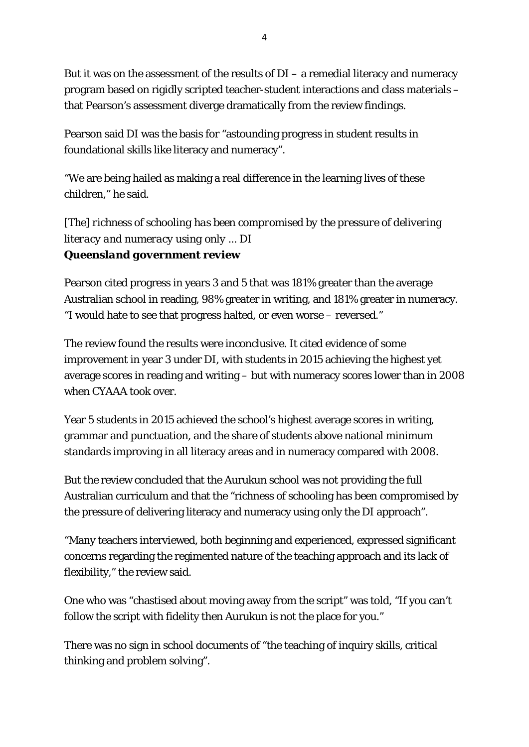But it was on the assessment of the results of  $DI - a$  remedial literacy and numeracy program based on rigidly scripted teacher-student interactions and class materials – that Pearson's assessment diverge dramatically from the review findings.

Pearson said DI was the basis for "astounding progress in student results in foundational skills like literacy and numeracy".

"We are being hailed as making a real difference in the learning lives of these children," he said.

*[The] richness of schooling has been compromised by the pressure of delivering literacy and numeracy using only ... DI Queensland government review*

Pearson cited progress in years 3 and 5 that was 181% greater than the average Australian school in reading, 98% greater in writing, and 181% greater in numeracy. "I would hate to see that progress halted, or even worse – reversed."

The review found the results were inconclusive. It cited evidence of some improvement in year 3 under DI, with students in 2015 achieving the highest yet average scores in reading and writing – but with numeracy scores lower than in 2008 when CYAAA took over.

Year 5 students in 2015 achieved the school's highest average scores in writing, grammar and punctuation, and the share of students above national minimum standards improving in all literacy areas and in numeracy compared with 2008.

But the review concluded that the Aurukun school was not providing the full Australian curriculum and that the "richness of schooling has been compromised by the pressure of delivering literacy and numeracy using only the DI approach".

"Many teachers interviewed, both beginning and experienced, expressed significant concerns regarding the regimented nature of the teaching approach and its lack of flexibility," the review said.

One who was "chastised about moving away from the script" was told, "If you can't follow the script with fidelity then Aurukun is not the place for you."

There was no sign in school documents of "the teaching of inquiry skills, critical thinking and problem solving".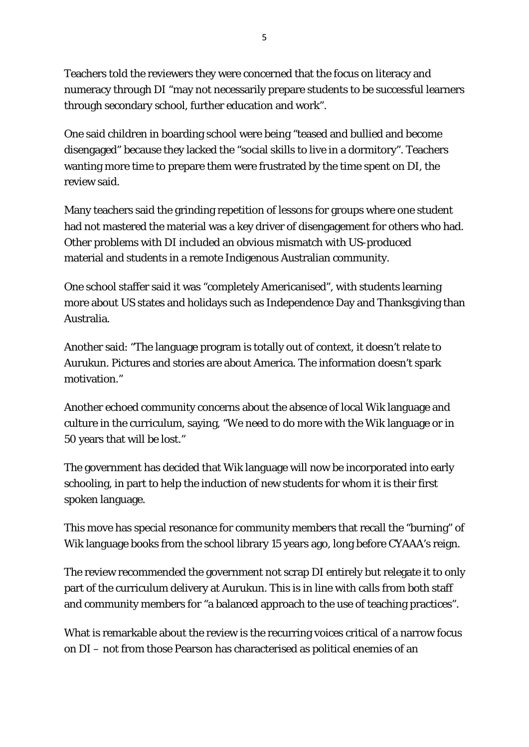Teachers told the reviewers they were concerned that the focus on literacy and numeracy through DI "may not necessarily prepare students to be successful learners through secondary school, further education and work".

One said children in boarding school were being "teased and bullied and become disengaged" because they lacked the "social skills to live in a dormitory". Teachers wanting more time to prepare them were frustrated by the time spent on DI, the review said.

Many teachers said the grinding repetition of lessons for groups where one student had not mastered the material was a key driver of disengagement for others who had. Other problems with DI included an obvious mismatch with US-produced material and students in a remote Indigenous Australian community.

One school staffer said it was "completely Americanised", with students learning more about US states and holidays such as Independence Day and Thanksgiving than Australia.

Another said: "The language program is totally out of context, it doesn't relate to Aurukun. Pictures and stories are about America. The information doesn't spark motivation."

Another echoed community concerns about the absence of local Wik language and culture in the curriculum, saying, "We need to do more with the Wik language or in 50 years that will be lost."

The government has decided that Wik language will now be incorporated into early schooling, in part to help the induction of new students for whom it is their first spoken language.

This move has special resonance for community members that recall the "burning" of Wik language books from the school library 15 years ago, long before CYAAA's reign.

The review recommended the government not scrap DI entirely but relegate it to only part of the curriculum delivery at Aurukun. This is in line with calls from both staff and community members for "a balanced approach to the use of teaching practices".

What is remarkable about the review is the recurring voices critical of a narrow focus on DI – not from those Pearson has characterised as political enemies of an